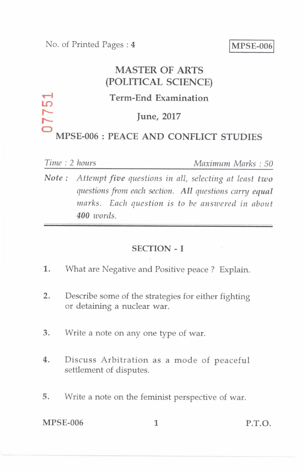## MASTER OF ARTS (POLITICAL SCIENCE)  $Term-End Examination$ June, 2017

# MPSE-006 : PEACE AND CONFLICT STUDIES

77

*Time : 2 hours Maximum Marks : 50* 

*Note : Attempt five questions in all, selecting at least two questions from each section. All questions carry equal marks. Each question is to be answered in about 400 words.* 

#### SECTION - I

- 1. What are Negative and Positive peace ? Explain.
- 2. Describe some of the strategies for either fighting or detaining a nuclear war.
- 3. Write a note on any one type of war.
- 4. Discuss Arbitration as a mode of peaceful settlement of disputes.
- 5. Write a note on the feminist perspective of war.

MPSE-006 1 P.T.O.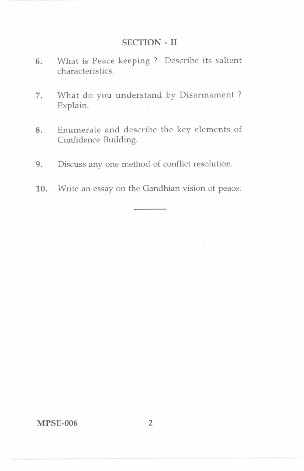#### SECTION-II

- 6. What is Peace keeping ? Describe its salient characteristics.
- 7. What do you understand by Disarmament ? Explain.
- 8. Enumerate and describe the key elements of Confidence Building.
- 9. Discuss any one method of conflict resolution.
- 10. Write an essay on the Gandhian vision of peace.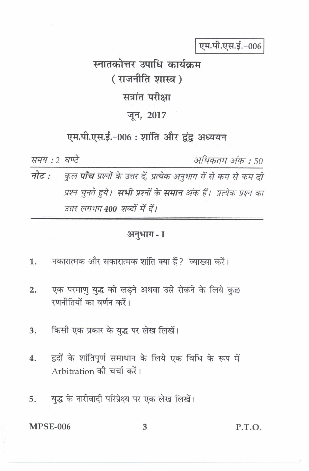एम.पी.एस.ई.-006

स्नातकोत्तर उपाधि कार्यकम (राजनीति शास्त्र) सत्रांत परीक्षा जून, 2017

एम.पी.एस.ई.-006: शांति और द्वंद्व अध्ययन

समय: 2 घण्टे

अधिकतम अंक : 50

नोट : कुल **पाँच** प्रश्नों के उत्तर दें, प्रत्येक अनुभाग में से कम से कम **दो** प्रश्न चुनते हुये**। सभी** प्रश्नों के **समान** अंक हैं। प्रत्येक प्रश्न का उत्तर लगभग 400 शब्दों में दें।

### अनुभाग - I

- नकारात्मक और सकारात्मक शांति क्या हैं ? व्याख्या करें।  $\mathbf{1}$ .
- एक परमाणु युद्ध को लड़ने अथवा उसे रोकने के लिये कुछ  $2.$ रणनीतियों का वर्णन करें।
- किसी एक प्रकार के युद्ध पर लेख लिखें। 3.
- द्वदों के शांतिपूर्ण समाधान के लिये एक विधि के रूप में  $4.$ Arbitration की चर्चा करें।
- युद्ध के नारीवादी परिप्रेक्ष्य पर एक लेख लिखें। 5.

**MPSE-006** 

P.T.O.

3